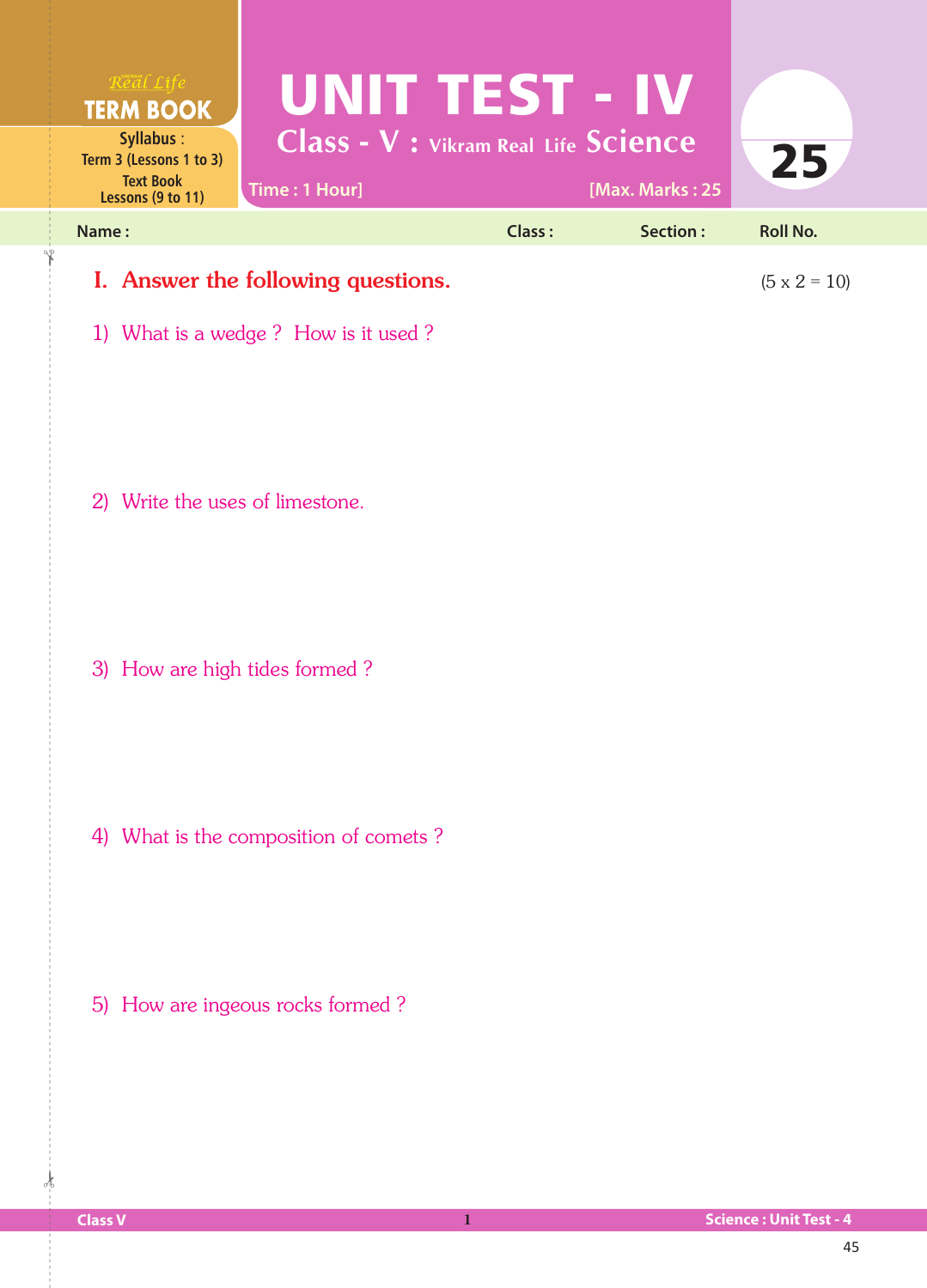

1) What is a wedge ? How is it used ?

2) Write the uses of limestone.

3) How are high tides formed ?

4) What is the composition of comets ?

5) How are ingeous rocks formed ?

 $\frac{1}{2}$